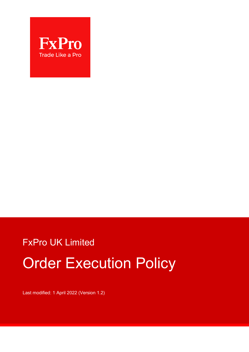

# FxPro UK Limited Order Execution Policy

Last modified: 1 April 2022 (Version 1.2)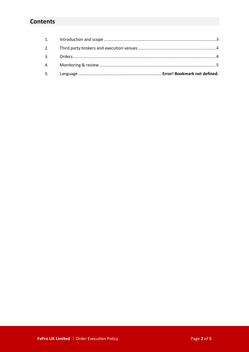# **Contents**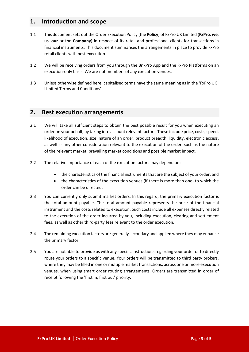### <span id="page-2-0"></span>**1. Introduction and scope**

- 1.1 This documentsets out the Order Execution Policy (the **Policy**) of FxPro UK Limited (**FxPro**, **we**, **us**, **our** or the **Company**) in respect of its retail and professional clients for transactions in financial instruments. This document summarises the arrangements in place to provide FxPro retail clients with best execution.
- 1.2 We will be receiving orders from you through the BnkPro App and the FxPro Platforms on an execution-only basis. We are not members of any execution venues.
- 1.3 Unless otherwise defined here, capitalised terms have the same meaning as in the 'FxPro UK Limited Terms and Conditions'.

#### **2. Best execution arrangements**

- 2.1 We will take all sufficient steps to obtain the best possible result for you when executing an order on your behalf, by taking into account relevant factors. These include price, costs, speed, likelihood of execution, size, nature of an order, product breadth, liquidity, electronic access, as well as any other consideration relevant to the execution of the order, such as the nature of the relevant market, prevailing market conditions and possible market impact.
- 2.2 The relative importance of each of the execution factors may depend on:
	- the characteristics of the financial instruments that are the subject of your order; and
	- the characteristics of the execution venues (if there is more than one) to which the order can be directed.
- 2.3 You can currently only submit market orders. In this regard, the primary execution factor is the total amount payable. The total amount payable represents the price of the financial instrument and the costs related to execution. Such costs include all expenses directly related to the execution of the order incurred by you, including execution, clearing and settlement fees, as well as other third-party fees relevant to the order execution.
- 2.4 The remaining execution factors are generally secondary and applied where they may enhance the primary factor.
- 2.5 You are not able to provide us with any specific instructions regarding your order or to directly route your orders to a specific venue. Your orders will be transmitted to third party brokers, where they may be filled in one or multiple market transactions, across one or more execution venues, when using smart order routing arrangements. Orders are transmitted in order of receipt following the 'first in, first out' priority.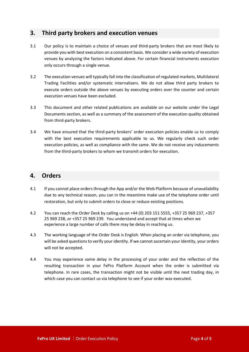# <span id="page-3-0"></span>**3. Third party brokers and execution venues**

- 3.1 Our policy is to maintain a choice of venues and third-party brokers that are most likely to provide you with best execution on a consistent basis. We consider a wide variety of execution venues by analysing the factors indicated above. For certain financial instruments execution only occurs through a single venue.
- 3.2 The execution venues will typically fall into the classification of regulated markets, Multilateral Trading Facilities and/or systematic internalisers. We do not allow third party brokers to execute orders outside the above venues by executing orders over the counter and certain execution venues have been excluded.
- 3.3 This document and other related publications are available on our website under the Legal Documents section, as well as a summary of the assessment of the execution quality obtained from third-party brokers.
- 3.4 We have ensured that the third-party brokers' order execution policies enable us to comply with the best execution requirements applicable to us. We regularly check such order execution policies, as well as compliance with the same. We do not receive any inducements from the third-party brokers to whom we transmit orders for execution.

#### <span id="page-3-1"></span>**4. Orders**

- 4.1 If you cannot place orders through the App and/or the Web Platform because of unavailability due to any technical reason, you can in the meantime make use of the telephone order until restoration, but only to submit orders to close or reduce existing positions.
- 4.2 You can reach the Order Desk by calling us on +44 (0) 203 151 5555, +357 25 969 237, +357 25 969 238, or +357 25 969 239. You understand and accept that at times when we experience a large number of calls there may be delay in reaching us.
- 4.3 The working language of the Order Desk is English. When placing an order via telephone, you will be asked questions to verify your identity. If we cannot ascertain your identity, your orders will not be accepted.
- 4.4 You may experience some delay in the processing of your order and the reflection of the resulting transaction in your FxPro Platform Account when the order is submitted via telephone. In rare cases, the transaction might not be visible until the next trading day, in which case you can contact us via telephone to see if your order was executed.